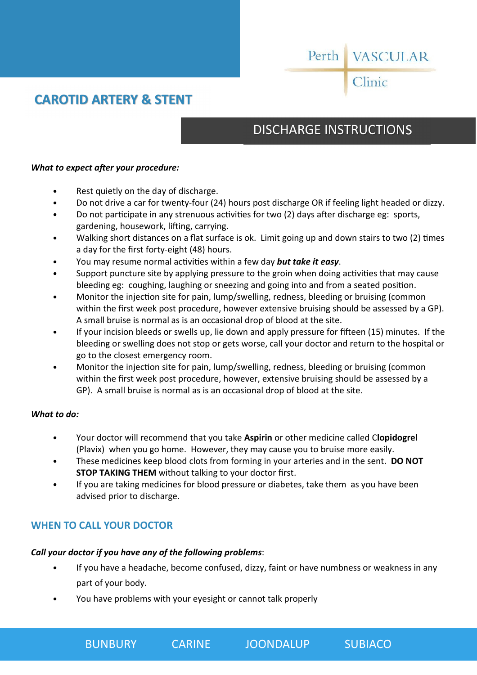# Perth VASCULAR

## Clinic

## **CAROTID ARTERY & STENT**

## DISCHARGE INSTRUCTIONS

#### *What to expect after your procedure:*

- Rest quietly on the day of discharge.
- Do not drive a car for twenty-four (24) hours post discharge OR if feeling light headed or dizzy.
- Do not participate in any strenuous activities for two (2) days after discharge eg: sports, gardening, housework, lifting, carrying.
- Walking short distances on a flat surface is ok. Limit going up and down stairs to two (2) times a day for the first forty-eight (48) hours.
- You may resume normal activities within a few day **but take it easy**.
- Support puncture site by applying pressure to the groin when doing activities that may cause bleeding eg: coughing, laughing or sneezing and going into and from a seated position.
- Monitor the injection site for pain, lump/swelling, redness, bleeding or bruising (common within the first week post procedure, however extensive bruising should be assessed by a GP). A small bruise is normal as is an occasional drop of blood at the site.
- If your incision bleeds or swells up, lie down and apply pressure for fifteen (15) minutes. If the bleeding or swelling does not stop or gets worse, call your doctor and return to the hospital or go to the closest emergency room.
- Monitor the injection site for pain, lump/swelling, redness, bleeding or bruising (common within the first week post procedure, however, extensive bruising should be assessed by a GP). A small bruise is normal as is an occasional drop of blood at the site.

#### *What to do:*

- Your doctor will recommend that you take **Aspirin** or other medicine called C**lopidogrel**  (Plavix) when you go home. However, they may cause you to bruise more easily.
- These medicines keep blood clots from forming in your arteries and in the sent. **DO NOT STOP TAKING THEM** without talking to your doctor first.
- If you are taking medicines for blood pressure or diabetes, take them as you have been advised prior to discharge.

#### **WHEN TO CALL YOUR DOCTOR**

#### *Call your doctor if you have any of the following problems*:

- If you have a headache, become confused, dizzy, faint or have numbness or weakness in any part of your body.
- You have problems with your eyesight or cannot talk properly